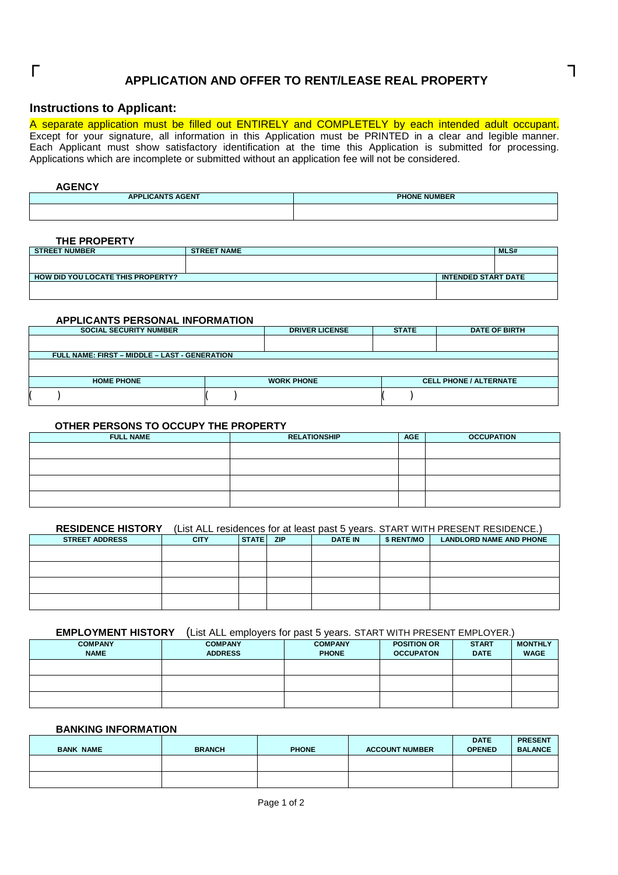# $\Gamma$  , and  $\Gamma$  , and  $\Gamma$  , and  $\Gamma$  , and  $\Gamma$  , and  $\Gamma$  , and  $\Gamma$  , and  $\Gamma$  , and  $\Gamma$  , and  $\Gamma$  , and  $\Gamma$  , and  $\Gamma$  , and  $\Gamma$  , and  $\Gamma$  , and  $\Gamma$  , and  $\Gamma$  , and  $\Gamma$  , and  $\Gamma$  , and  $\Gamma$  , and  $\Gamma$  , and **APPLICATION AND OFFER TO RENT/LEASE REAL PROPERTY**

# **Instructions to Applicant:**

A separate application must be filled out ENTIRELY and COMPLETELY by each intended adult occupant. Except for your signature, all information in this Application must be PRINTED in a clear and legible manner. Each Applicant must show satisfactory identification at the time this Application is submitted for processing. Applications which are incomplete or submitted without an application fee will not be considered.

#### **AGENCY**

| <b>APPLICANTS AGENT</b> | <b>PHONE NUMBER</b> |
|-------------------------|---------------------|
|                         |                     |

# **THE PROPERTY**

| <b>STREET NUMBER</b>              | <b>STREET NAME</b> |                            | <b>MLS#</b> |
|-----------------------------------|--------------------|----------------------------|-------------|
|                                   |                    |                            |             |
|                                   |                    |                            |             |
| HOW DID YOU LOCATE THIS PROPERTY? |                    | <b>INTENDED START DATE</b> |             |
|                                   |                    |                            |             |
|                                   |                    |                            |             |

# **APPLICANTS PERSONAL INFORMATION**

| <b>SOCIAL SECURITY NUMBER</b>                        |  |                   |  | <b>DATE OF BIRTH</b>          |
|------------------------------------------------------|--|-------------------|--|-------------------------------|
|                                                      |  |                   |  |                               |
| <b>FULL NAME: FIRST - MIDDLE - LAST - GENERATION</b> |  |                   |  |                               |
|                                                      |  |                   |  |                               |
|                                                      |  |                   |  |                               |
| <b>HOME PHONE</b>                                    |  | <b>WORK PHONE</b> |  | <b>CELL PHONE / ALTERNATE</b> |
|                                                      |  |                   |  |                               |

# **OTHER PERSONS TO OCCUPY THE PROPERTY**

| <b>FULL NAME</b> | <b>RELATIONSHIP</b> | <b>AGE</b> | <b>OCCUPATION</b> |
|------------------|---------------------|------------|-------------------|
|                  |                     |            |                   |
|                  |                     |            |                   |
|                  |                     |            |                   |
|                  |                     |            |                   |

#### **RESIDENCE HISTORY** (List ALL residences for at least past 5 years. START WITH PRESENT RESIDENCE.)

| <b>STREET ADDRESS</b> | <b>CITY</b> | <b>STATE</b> | <b>ZIP</b> | <b>DATE IN</b> | \$ RENT/MO | <b>LANDLORD NAME AND PHONE</b> |
|-----------------------|-------------|--------------|------------|----------------|------------|--------------------------------|
|                       |             |              |            |                |            |                                |
|                       |             |              |            |                |            |                                |
|                       |             |              |            |                |            |                                |
|                       |             |              |            |                |            |                                |

# **EMPLOYMENT HISTORY** (List ALL employers for past 5 years. START WITH PRESENT EMPLOYER.)

| <b>COMPANY</b><br><b>NAME</b> | <b>COMPANY</b><br><b>ADDRESS</b> | <b>COMPANY</b><br><b>PHONE</b> | <b>POSITION OR</b><br><b>OCCUPATON</b> | <b>START</b><br><b>DATE</b> | <b>MONTHLY</b><br><b>WAGE</b> |
|-------------------------------|----------------------------------|--------------------------------|----------------------------------------|-----------------------------|-------------------------------|
|                               |                                  |                                |                                        |                             |                               |
|                               |                                  |                                |                                        |                             |                               |
|                               |                                  |                                |                                        |                             |                               |

# **BANKING INFORMATION**

| <b>BANK NAME</b> | <b>BRANCH</b> | <b>PHONE</b> | <b>ACCOUNT NUMBER</b> | <b>DATE</b><br><b>OPENED</b> | <b>PRESENT</b><br><b>BALANCE</b> |
|------------------|---------------|--------------|-----------------------|------------------------------|----------------------------------|
|                  |               |              |                       |                              |                                  |
|                  |               |              |                       |                              |                                  |